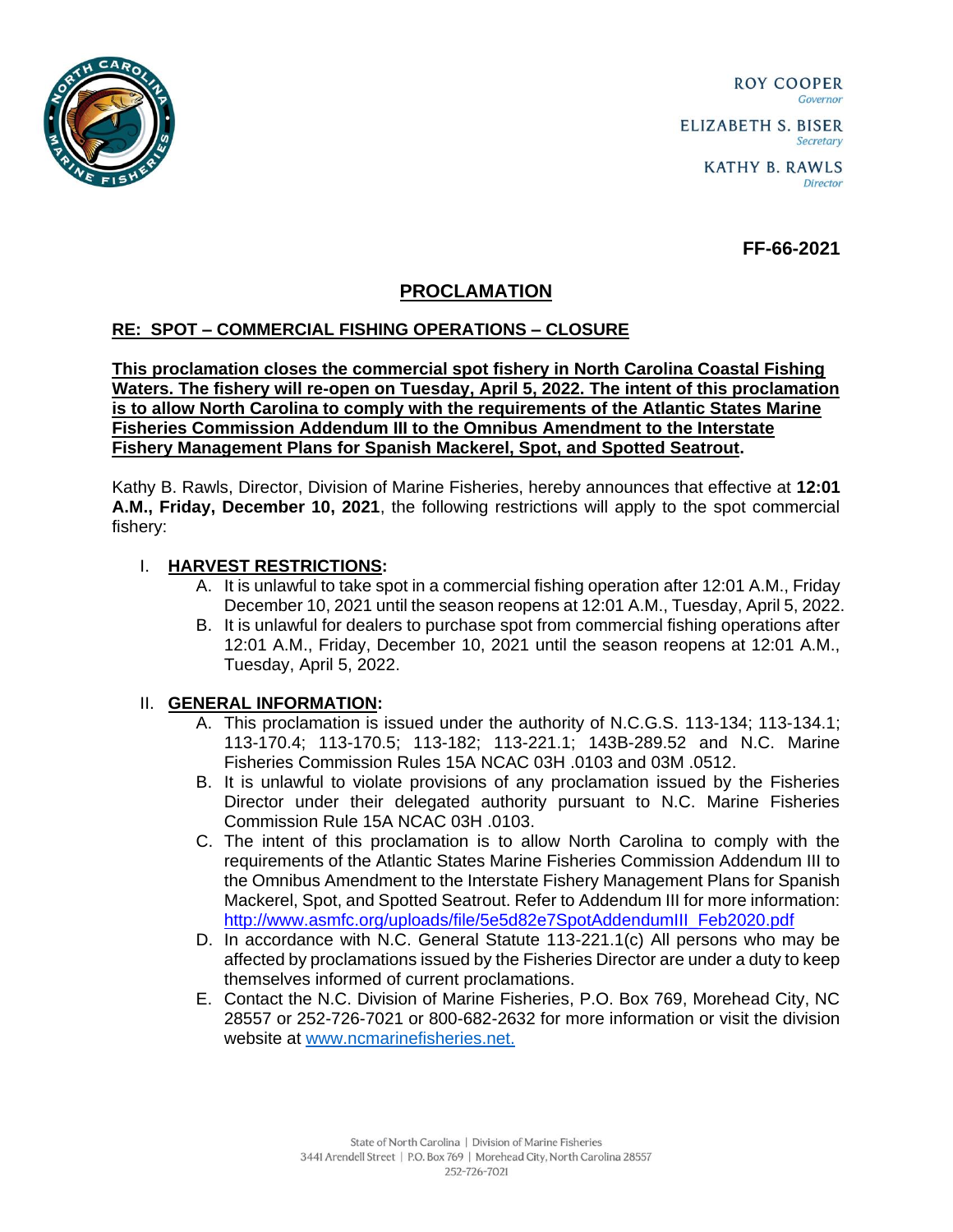

ROY COOPER Governor **ELIZABETH S. BISER** Secretary

**FF-66-2021**

## **PROCLAMATION**

## **RE: SPOT – COMMERCIAL FISHING OPERATIONS – CLOSURE**

**This proclamation closes the commercial spot fishery in North Carolina Coastal Fishing Waters. The fishery will re-open on Tuesday, April 5, 2022. The intent of this proclamation is to allow North Carolina to comply with the requirements of the Atlantic States Marine Fisheries Commission Addendum III to the Omnibus Amendment to the Interstate Fishery Management Plans for Spanish Mackerel, Spot, and Spotted Seatrout.**

Kathy B. Rawls, Director, Division of Marine Fisheries, hereby announces that effective at **12:01 A.M., Friday, December 10, 2021**, the following restrictions will apply to the spot commercial fishery:

## I. **HARVEST RESTRICTIONS:**

- A. It is unlawful to take spot in a commercial fishing operation after 12:01 A.M., Friday December 10, 2021 until the season reopens at 12:01 A.M., Tuesday, April 5, 2022.
- B. It is unlawful for dealers to purchase spot from commercial fishing operations after 12:01 A.M., Friday, December 10, 2021 until the season reopens at 12:01 A.M., Tuesday, April 5, 2022.

## II. **GENERAL INFORMATION:**

- A. This proclamation is issued under the authority of N.C.G.S. 113-134; 113-134.1; 113-170.4; 113-170.5; 113-182; 113-221.1; 143B-289.52 and N.C. Marine Fisheries Commission Rules 15A NCAC 03H .0103 and 03M .0512.
- B. It is unlawful to violate provisions of any proclamation issued by the Fisheries Director under their delegated authority pursuant to N.C. Marine Fisheries Commission Rule 15A NCAC 03H .0103.
- C. The intent of this proclamation is to allow North Carolina to comply with the requirements of the Atlantic States Marine Fisheries Commission Addendum III to the Omnibus Amendment to the Interstate Fishery Management Plans for Spanish Mackerel, Spot, and Spotted Seatrout. Refer to Addendum III for more information: [http://www.asmfc.org/uploads/file/5e5d82e7SpotAddendumIII\\_Feb2020.pdf](http://www.asmfc.org/uploads/file/5e5d82e7SpotAddendumIII_Feb2020.pdf)
- D. In accordance with N.C. General Statute 113-221.1(c) All persons who may be affected by proclamations issued by the Fisheries Director are under a duty to keep themselves informed of current proclamations.
- E. Contact the N.C. Division of Marine Fisheries, P.O. Box 769, Morehead City, NC 28557 or 252-726-7021 or 800-682-2632 for more information or visit the division website at [www.ncmarinefisheries.net.](http://www.ncmarinefisheries.net./)